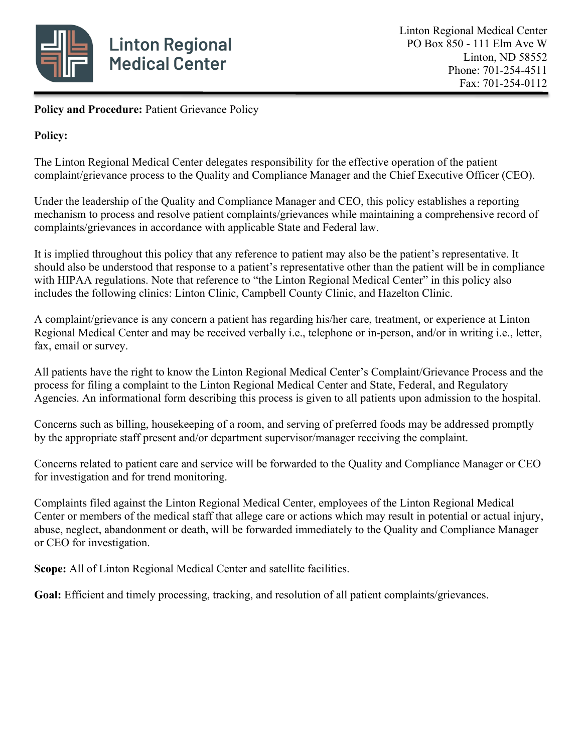

Policy and Procedure: Patient Grievance Policy

# **Policy:**

The Linton Regional Medical Center delegates responsibility for the effective operation of the patient complaint/grievance process to the Quality and Compliance Manager and the Chief Executive Officer (CEO).

Under the leadership of the Quality and Compliance Manager and CEO, this policy establishes a reporting mechanism to process and resolve patient complaints/grievances while maintaining a comprehensive record of complaints/grievances in accordance with applicable State and Federal law.

It is implied throughout this policy that any reference to patient may also be the patient's representative. It should also be understood that response to a patient's representative other than the patient will be in compliance with HIPAA regulations. Note that reference to "the Linton Regional Medical Center" in this policy also includes the following clinics: Linton Clinic, Campbell County Clinic, and Hazelton Clinic.

A complaint/grievance is any concern a patient has regarding his/her care, treatment, or experience at Linton Regional Medical Center and may be received verbally i.e., telephone or in-person, and/or in writing i.e., letter, fax, email or survey.

All patients have the right to know the Linton Regional Medical Center's Complaint/Grievance Process and the process for filing a complaint to the Linton Regional Medical Center and State, Federal, and Regulatory Agencies. An informational form describing this process is given to all patients upon admission to the hospital.

Concerns such as billing, housekeeping of a room, and serving of preferred foods may be addressed promptly by the appropriate staff present and/or department supervisor/manager receiving the complaint.

Concerns related to patient care and service will be forwarded to the Quality and Compliance Manager or CEO for investigation and for trend monitoring.

Complaints filed against the Linton Regional Medical Center, employees of the Linton Regional Medical Center or members of the medical staff that allege care or actions which may result in potential or actual injury, abuse, neglect, abandonment or death, will be forwarded immediately to the Quality and Compliance Manager or CEO for investigation.

**Scope:** All of Linton Regional Medical Center and satellite facilities.

**Goal:** Efficient and timely processing, tracking, and resolution of all patient complaints/grievances.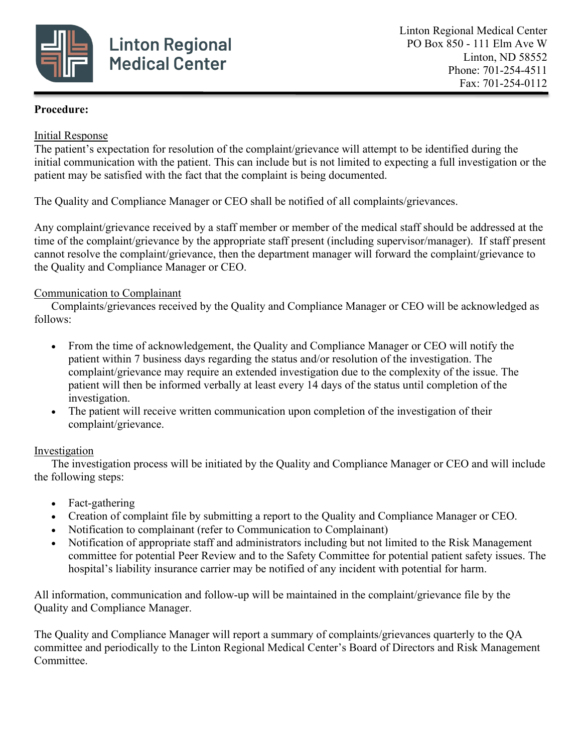

## **Procedure:**

## Initial Response

The patient's expectation for resolution of the complaint/grievance will attempt to be identified during the initial communication with the patient. This can include but is not limited to expecting a full investigation or the patient may be satisfied with the fact that the complaint is being documented.

The Quality and Compliance Manager or CEO shall be notified of all complaints/grievances.

Any complaint/grievance received by a staff member or member of the medical staff should be addressed at the time of the complaint/grievance by the appropriate staff present (including supervisor/manager). If staff present cannot resolve the complaint/grievance, then the department manager will forward the complaint/grievance to the Quality and Compliance Manager or CEO.

# Communication to Complainant

Complaints/grievances received by the Quality and Compliance Manager or CEO will be acknowledged as follows:

- From the time of acknowledgement, the Quality and Compliance Manager or CEO will notify the patient within 7 business days regarding the status and/or resolution of the investigation. The complaint/grievance may require an extended investigation due to the complexity of the issue. The patient will then be informed verbally at least every 14 days of the status until completion of the investigation.
- The patient will receive written communication upon completion of the investigation of their complaint/grievance.

#### Investigation

The investigation process will be initiated by the Quality and Compliance Manager or CEO and will include the following steps:

- Fact-gathering
- Creation of complaint file by submitting a report to the Quality and Compliance Manager or CEO.
- Notification to complainant (refer to Communication to Complainant)
- Notification of appropriate staff and administrators including but not limited to the Risk Management committee for potential Peer Review and to the Safety Committee for potential patient safety issues. The hospital's liability insurance carrier may be notified of any incident with potential for harm.

All information, communication and follow-up will be maintained in the complaint/grievance file by the Quality and Compliance Manager.

The Quality and Compliance Manager will report a summary of complaints/grievances quarterly to the QA committee and periodically to the Linton Regional Medical Center's Board of Directors and Risk Management Committee.